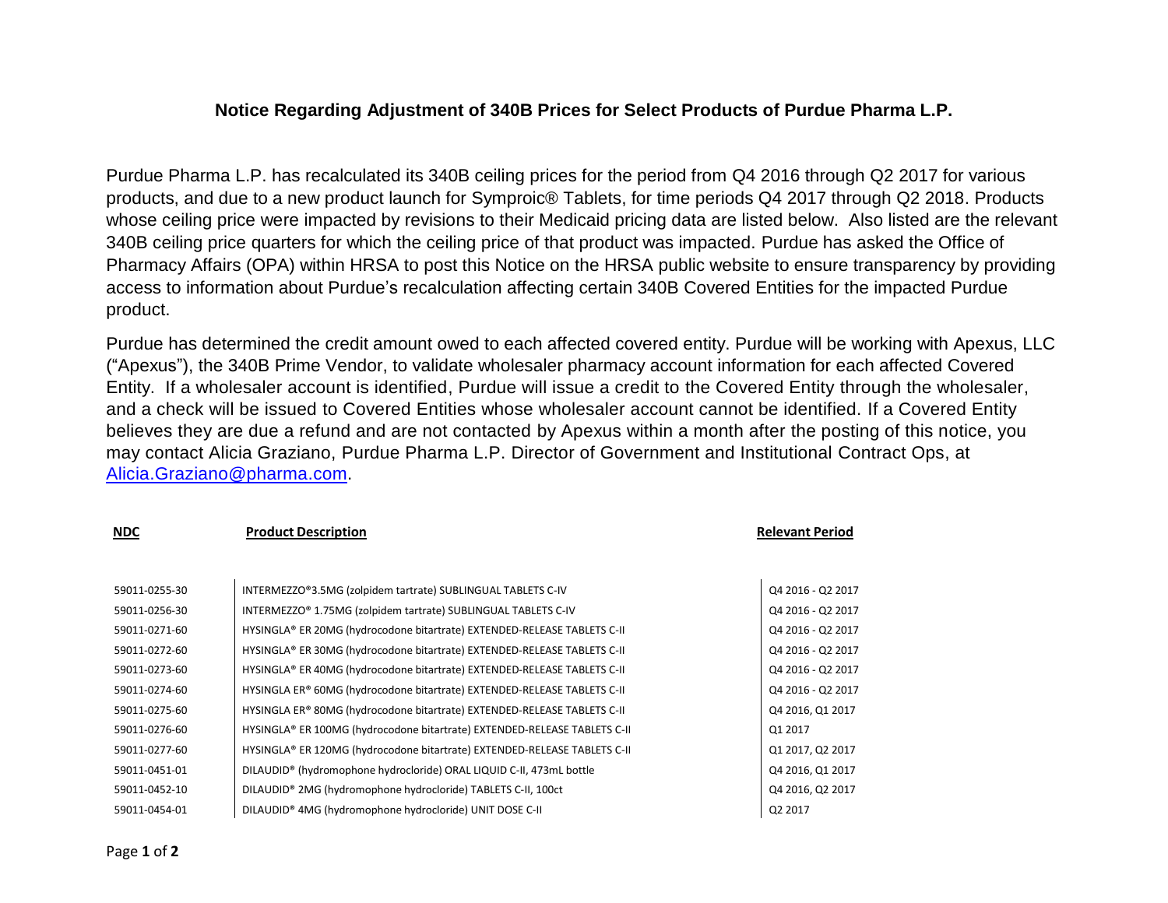## **Notice Regarding Adjustment of 340B Prices for Select Products of Purdue Pharma L.P.**

Purdue Pharma L.P. has recalculated its 340B ceiling prices for the period from Q4 2016 through Q2 2017 for various products, and due to a new product launch for Symproic® Tablets, for time periods Q4 2017 through Q2 2018. Products whose ceiling price were impacted by revisions to their Medicaid pricing data are listed below. Also listed are the relevant 340B ceiling price quarters for which the ceiling price of that product was impacted. Purdue has asked the Office of Pharmacy Affairs (OPA) within HRSA to post this Notice on the HRSA public website to ensure transparency by providing access to information about Purdue's recalculation affecting certain 340B Covered Entities for the impacted Purdue product.

Purdue has determined the credit amount owed to each affected covered entity. Purdue will be working with Apexus, LLC ("Apexus"), the 340B Prime Vendor, to validate wholesaler pharmacy account information for each affected Covered Entity. If a wholesaler account is identified, Purdue will issue a credit to the Covered Entity through the wholesaler, and a check will be issued to Covered Entities whose wholesaler account cannot be identified. If a Covered Entity believes they are due a refund and are not contacted by Apexus within a month after the posting of this notice, you may contact Alicia Graziano, Purdue Pharma L.P. Director of Government and Institutional Contract Ops, at [Alicia.Graziano@pharma.com.](mailto:Alicia.Graziano@pharma.com)

## **NDC Product Description Relevant Period**

| 59011-0255-30 | INTERMEZZO®3.5MG (zolpidem tartrate) SUBLINGUAL TABLETS C-IV                     | Q4 2016 - Q2 2017 |
|---------------|----------------------------------------------------------------------------------|-------------------|
| 59011-0256-30 | INTERMEZZO® 1.75MG (zolpidem tartrate) SUBLINGUAL TABLETS C-IV                   | Q4 2016 - Q2 2017 |
| 59011-0271-60 | HYSINGLA® ER 20MG (hydrocodone bitartrate) EXTENDED-RELEASE TABLETS C-II         | Q4 2016 - Q2 2017 |
| 59011-0272-60 | HYSINGLA® ER 30MG (hydrocodone bitartrate) EXTENDED-RELEASE TABLETS C-II         | Q4 2016 - Q2 2017 |
| 59011-0273-60 | HYSINGLA® ER 40MG (hydrocodone bitartrate) EXTENDED-RELEASE TABLETS C-II         | Q4 2016 - Q2 2017 |
| 59011-0274-60 | HYSINGLA ER® 60MG (hydrocodone bitartrate) EXTENDED-RELEASE TABLETS C-II         | Q4 2016 - Q2 2017 |
| 59011-0275-60 | HYSINGLA ER® 80MG (hydrocodone bitartrate) EXTENDED-RELEASE TABLETS C-II         | Q4 2016, Q1 2017  |
| 59011-0276-60 | HYSINGLA® ER 100MG (hydrocodone bitartrate) EXTENDED-RELEASE TABLETS C-II        | Q1 2017           |
| 59011-0277-60 | HYSINGLA® ER 120MG (hydrocodone bitartrate) EXTENDED-RELEASE TABLETS C-II        | Q1 2017, Q2 2017  |
| 59011-0451-01 | DILAUDID <sup>®</sup> (hydromophone hydrocloride) ORAL LIQUID C-II, 473mL bottle | Q4 2016, Q1 2017  |
| 59011-0452-10 | DILAUDID <sup>®</sup> 2MG (hydromophone hydrocloride) TABLETS C-II, 100ct        | Q4 2016, Q2 2017  |
| 59011-0454-01 | DILAUDID® 4MG (hydromophone hydrocloride) UNIT DOSE C-II                         | Q2 2017           |